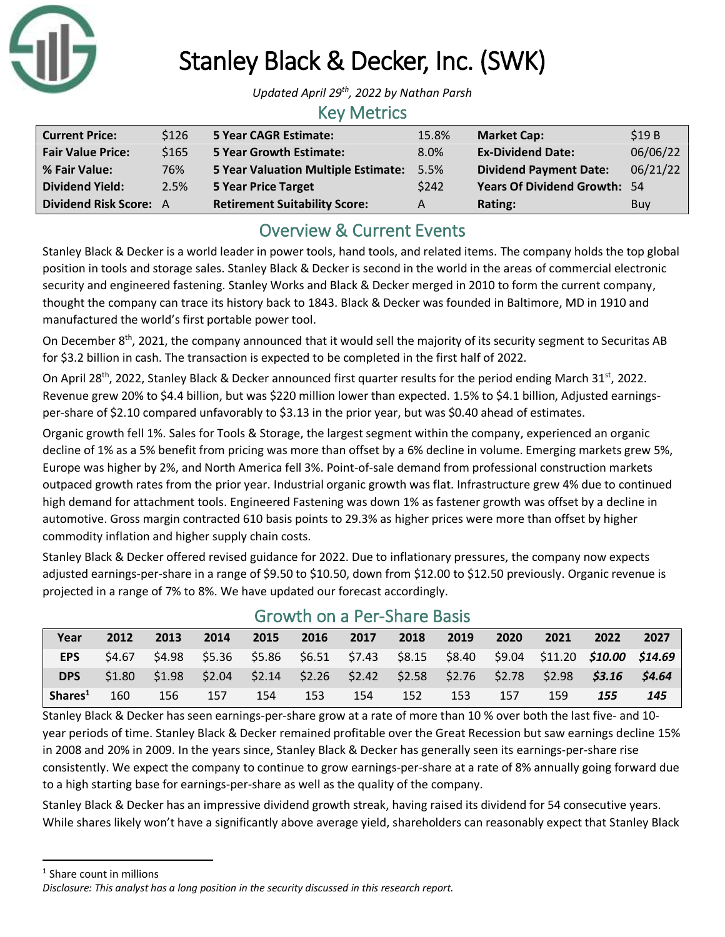

# Stanley Black & Decker, Inc. (SWK)

*Updated April 29th , 2022 by Nathan Parsh*

#### Key Metrics

| <b>Current Price:</b>    | \$126 | <b>5 Year CAGR Estimate:</b>                    | 15.8% | <b>Market Cap:</b>                  | \$19B    |
|--------------------------|-------|-------------------------------------------------|-------|-------------------------------------|----------|
| <b>Fair Value Price:</b> | \$165 | <b>5 Year Growth Estimate:</b>                  | 8.0%  | <b>Ex-Dividend Date:</b>            | 06/06/22 |
| % Fair Value:            | 76%   | <b>5 Year Valuation Multiple Estimate: 5.5%</b> |       | <b>Dividend Payment Date:</b>       | 06/21/22 |
| <b>Dividend Yield:</b>   | 2.5%  | <b>5 Year Price Target</b>                      | \$242 | <b>Years Of Dividend Growth: 54</b> |          |
| Dividend Risk Score: A   |       | <b>Retirement Suitability Score:</b>            | A     | Rating:                             | Buy      |

## Overview & Current Events

Stanley Black & Decker is a world leader in power tools, hand tools, and related items. The company holds the top global position in tools and storage sales. Stanley Black & Decker is second in the world in the areas of commercial electronic security and engineered fastening. Stanley Works and Black & Decker merged in 2010 to form the current company, thought the company can trace its history back to 1843. Black & Decker was founded in Baltimore, MD in 1910 and manufactured the world's first portable power tool.

On December 8<sup>th</sup>, 2021, the company announced that it would sell the majority of its security segment to Securitas AB for \$3.2 billion in cash. The transaction is expected to be completed in the first half of 2022.

On April 28<sup>th</sup>, 2022, Stanley Black & Decker announced first quarter results for the period ending March 31<sup>st</sup>, 2022. Revenue grew 20% to \$4.4 billion, but was \$220 million lower than expected. 1.5% to \$4.1 billion, Adjusted earningsper-share of \$2.10 compared unfavorably to \$3.13 in the prior year, but was \$0.40 ahead of estimates.

Organic growth fell 1%. Sales for Tools & Storage, the largest segment within the company, experienced an organic decline of 1% as a 5% benefit from pricing was more than offset by a 6% decline in volume. Emerging markets grew 5%, Europe was higher by 2%, and North America fell 3%. Point-of-sale demand from professional construction markets outpaced growth rates from the prior year. Industrial organic growth was flat. Infrastructure grew 4% due to continued high demand for attachment tools. Engineered Fastening was down 1% as fastener growth was offset by a decline in automotive. Gross margin contracted 610 basis points to 29.3% as higher prices were more than offset by higher commodity inflation and higher supply chain costs.

Stanley Black & Decker offered revised guidance for 2022. Due to inflationary pressures, the company now expects adjusted earnings-per-share in a range of \$9.50 to \$10.50, down from \$12.00 to \$12.50 previously. Organic revenue is projected in a range of 7% to 8%. We have updated our forecast accordingly.

| <u>UIUWUI UITA LEI JIIAIE DASIS</u> |        |        |      |      |      |      |      |      |       |                                                                                 |      |      |
|-------------------------------------|--------|--------|------|------|------|------|------|------|-------|---------------------------------------------------------------------------------|------|------|
| Year                                | 2012   | 2013   | 2014 | 2015 | 2016 | 2017 | 2018 | 2019 | -2020 | 2021                                                                            | 2022 | 2027 |
| <b>EPS</b>                          | S4.67  | \$4.98 |      |      |      |      |      |      |       | \$5.36 \$5.86 \$6.51 \$7.43 \$8.15 \$8.40 \$9.04 \$11.20 <b>\$10.00 \$14.69</b> |      |      |
| <b>DPS</b>                          | \$1.80 | \$1.98 |      |      |      |      |      |      |       | $$2.04$ $$2.14$ $$2.26$ $$2.42$ $$2.58$ $$2.76$ $$2.78$ $$2.98$ $$3.16$ $$4.64$ |      |      |
| Shares <sup>1</sup>                 | 160    | 156    | 157  | 154  | 153  | 154  | 152  | 153  | 157   | 159                                                                             | 155  | 145  |

### Growth on a Per-Share Basis

Stanley Black & Decker has seen earnings-per-share grow at a rate of more than 10 % over both the last five- and 10 year periods of time. Stanley Black & Decker remained profitable over the Great Recession but saw earnings decline 15% in 2008 and 20% in 2009. In the years since, Stanley Black & Decker has generally seen its earnings-per-share rise consistently. We expect the company to continue to grow earnings-per-share at a rate of 8% annually going forward due to a high starting base for earnings-per-share as well as the quality of the company.

Stanley Black & Decker has an impressive dividend growth streak, having raised its dividend for 54 consecutive years. While shares likely won't have a significantly above average yield, shareholders can reasonably expect that Stanley Black

<sup>1</sup> Share count in millions

*Disclosure: This analyst has a long position in the security discussed in this research report.*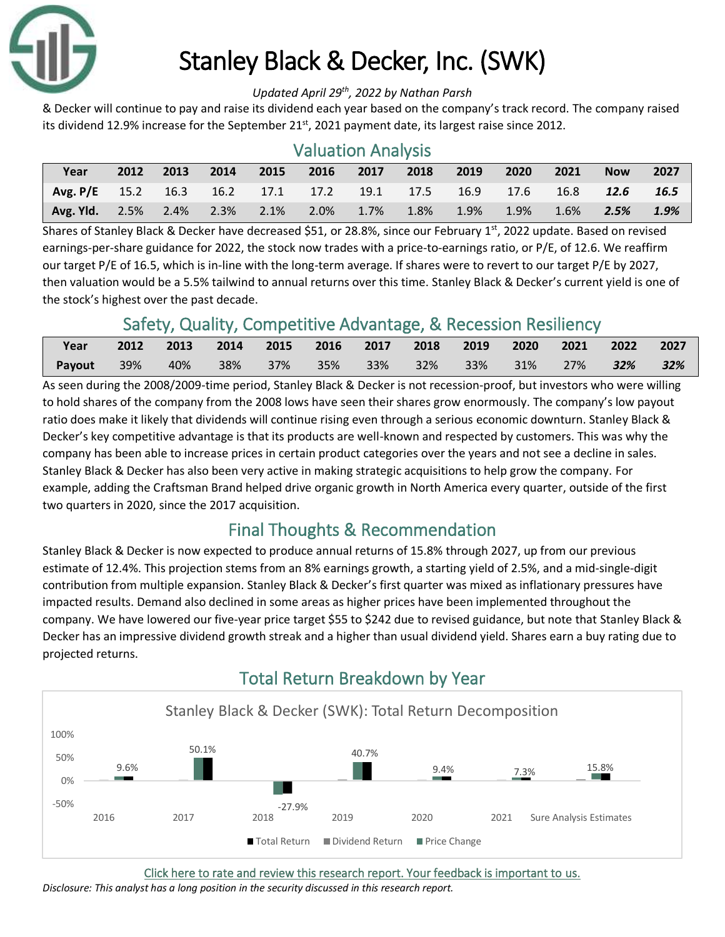

# Stanley Black & Decker, Inc. (SWK)

#### *Updated April 29th , 2022 by Nathan Parsh*

& Decker will continue to pay and raise its dividend each year based on the company's track record. The company raised its dividend 12.9% increase for the September  $21<sup>st</sup>$ , 2021 payment date, its largest raise since 2012.

| <b>Valuation Analysis</b>     |      |      |         |      |                |      |      |      |      |      |            |      |
|-------------------------------|------|------|---------|------|----------------|------|------|------|------|------|------------|------|
| Year                          | 2012 | 2013 | 2014    | 2015 | 2016           | 2017 | 2018 | 2019 | 2020 | 2021 | <b>Now</b> | 2027 |
| Avg. $P/E$ 15.2 16.3          |      |      |         |      | 16.2 17.1 17.2 | 19.1 | 17.5 | 16.9 | 17.6 | 16.8 | 12.6       | 16.5 |
| <b>Avg. Yld.</b> $2.5\%$ 2.4% |      |      | $2.3\%$ | 2.1% | $2.0\%$        | 1.7% | 1.8% | 1.9% | 1.9% | 1.6% | 2.5%       | 1.9% |

Shares of Stanley Black & Decker have decreased \$51, or 28.8%, since our February 1<sup>st</sup>, 2022 update. Based on revised earnings-per-share guidance for 2022, the stock now trades with a price-to-earnings ratio, or P/E, of 12.6. We reaffirm our target P/E of 16.5, which is in-line with the long-term average. If shares were to revert to our target P/E by 2027, then valuation would be a 5.5% tailwind to annual returns over this time. Stanley Black & Decker's current yield is one of the stock's highest over the past decade.

## Safety, Quality, Competitive Advantage, & Recession Resiliency

| Year                                       | 2012 2013 2014 2015 2016 2017 2018 2019 2020 |  |  |  |  | 2021 2022 2027     |  |
|--------------------------------------------|----------------------------------------------|--|--|--|--|--------------------|--|
| Payout 39% 40% 38% 37% 35% 33% 32% 33% 31% |                                              |  |  |  |  | 27% <b>32% 32%</b> |  |

As seen during the 2008/2009-time period, Stanley Black & Decker is not recession-proof, but investors who were willing to hold shares of the company from the 2008 lows have seen their shares grow enormously. The company's low payout ratio does make it likely that dividends will continue rising even through a serious economic downturn. Stanley Black & Decker's key competitive advantage is that its products are well-known and respected by customers. This was why the company has been able to increase prices in certain product categories over the years and not see a decline in sales. Stanley Black & Decker has also been very active in making strategic acquisitions to help grow the company. For example, adding the Craftsman Brand helped drive organic growth in North America every quarter, outside of the first two quarters in 2020, since the 2017 acquisition.

## Final Thoughts & Recommendation

Stanley Black & Decker is now expected to produce annual returns of 15.8% through 2027, up from our previous estimate of 12.4%. This projection stems from an 8% earnings growth, a starting yield of 2.5%, and a mid-single-digit contribution from multiple expansion. Stanley Black & Decker's first quarter was mixed as inflationary pressures have impacted results. Demand also declined in some areas as higher prices have been implemented throughout the company. We have lowered our five-year price target \$55 to \$242 due to revised guidance, but note that Stanley Black & Decker has an impressive dividend growth streak and a higher than usual dividend yield. Shares earn a buy rating due to projected returns.



#### [Click here to rate and review this research report. Your feedback is important to us.](https://suredividend.typeform.com/to/pOfbkh)

*Disclosure: This analyst has a long position in the security discussed in this research report.*